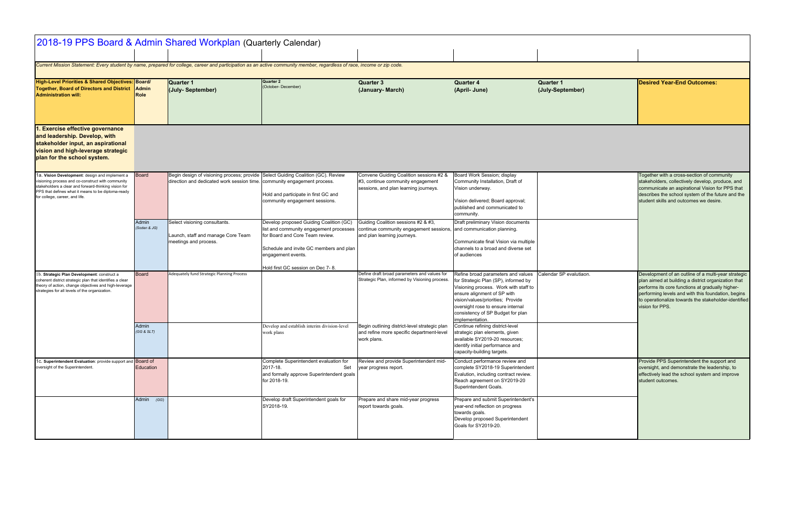| <b>Quarter 4</b><br>(April- June)                                                                                                                                                                                                                                                                                                                                                                                                                              | <b>Quarter 1</b><br>(July-September) | <b>Desired Year-End Outcomes:</b>                                                                                                                                                                                                                                                               |
|----------------------------------------------------------------------------------------------------------------------------------------------------------------------------------------------------------------------------------------------------------------------------------------------------------------------------------------------------------------------------------------------------------------------------------------------------------------|--------------------------------------|-------------------------------------------------------------------------------------------------------------------------------------------------------------------------------------------------------------------------------------------------------------------------------------------------|
|                                                                                                                                                                                                                                                                                                                                                                                                                                                                |                                      |                                                                                                                                                                                                                                                                                                 |
| Board Work Session; display<br>Community Installation, Draft of<br>Vision underway.<br>Vision delivered; Board approval;<br>published and communicated to<br>community.<br>Draft preliminary Vision documents                                                                                                                                                                                                                                                  |                                      | Together with a cross-section of community<br>stakeholders, collectively develop, produce, and<br>communicate an aspirational Vision for PPS that<br>describes the school system of the future and the<br>student skills and outcomes we desire.                                                |
| and communication planning.<br>Communicate final Vision via multiple<br>channels to a broad and diverse set<br>of audiences                                                                                                                                                                                                                                                                                                                                    |                                      |                                                                                                                                                                                                                                                                                                 |
| Refine broad parameters and values<br>for Strategic Plan (SP), informed by<br>Visioning process. Work with staff to<br>ensure alignment of SP with<br>vision/values/priorities; Provide<br>oversight rose to ensure internal<br>consistency of SP Budget for plan<br>implementation.<br>Continue refining district-level<br>strategic plan elements, given<br>available SY2019-20 resources;<br>identify initial performance and<br>capacity-building targets. | Calendar SP evalutiaon.              | Development of an outline of a multi-year strategic<br>plan aimed at building a district organization that<br>performs its core functions at gradually higher-<br>performing levels and with this foundation, begins<br>to operationalize towards the stakeholder-identified<br>vision for PPS. |
| Conduct performance review and<br>complete SY2018-19 Superintendent<br>Evalution, including contract review.<br>Reach agreement on SY2019-20<br>Superintendent Goals.                                                                                                                                                                                                                                                                                          |                                      | Provide PPS Superintendent the support and<br>oversight, and demonstrate the leadership, to<br>effectively lead the school system and improve<br>student outcomes.                                                                                                                              |
| Prepare and submit Superintendent's<br>year-end reflection on progress<br>towards goals.<br>Develop proposed Superintendent<br>Goals for SY2019-20.                                                                                                                                                                                                                                                                                                            |                                      |                                                                                                                                                                                                                                                                                                 |

| 2018-19 PPS Board & Admin Shared Workplan (Quarterly Calendar)                                                                                                                                                                                      |                       |                                                                                                                                                              |                                                                                                                                                                                        |                                                                                                                       |                                                                                                                                                                                                                                                                                      |                                      |                                                                        |
|-----------------------------------------------------------------------------------------------------------------------------------------------------------------------------------------------------------------------------------------------------|-----------------------|--------------------------------------------------------------------------------------------------------------------------------------------------------------|----------------------------------------------------------------------------------------------------------------------------------------------------------------------------------------|-----------------------------------------------------------------------------------------------------------------------|--------------------------------------------------------------------------------------------------------------------------------------------------------------------------------------------------------------------------------------------------------------------------------------|--------------------------------------|------------------------------------------------------------------------|
| Current Mission Statement: Every student by name, prepared for college, career and participation as an active community member, regardless of race, income or zip code.                                                                             |                       |                                                                                                                                                              |                                                                                                                                                                                        |                                                                                                                       |                                                                                                                                                                                                                                                                                      |                                      |                                                                        |
| High-Level Priorities & Shared Objectives: Board/<br>Together, Board of Directors and District<br><b>Administration will:</b>                                                                                                                       | <b>Admin</b><br>Role  | Quarter 1<br>(July-September)                                                                                                                                | <b>Quarter 2</b><br>(October- December)                                                                                                                                                | <b>Quarter 3</b><br>(January- March)                                                                                  | <b>Quarter 4</b><br>(April- June)                                                                                                                                                                                                                                                    | <b>Quarter 1</b><br>(July-September) | <b>Desired</b>                                                         |
| 1. Exercise effective governance<br>and leadership. Develop, with<br>stakeholder input, an aspirational<br>vision and high-leverage strategic<br>plan for the school system.                                                                        |                       |                                                                                                                                                              |                                                                                                                                                                                        |                                                                                                                       |                                                                                                                                                                                                                                                                                      |                                      |                                                                        |
| 1a. Vision Development: design and implement a<br>visioning process and co-construct with community<br>stakeholders a clear and forward-thinking vision for<br>PPS that defines what it means to be diploma-ready<br>for college, career, and life. | <b>Board</b>          | Begin design of visioning process; provide Select Guiding Coalition (GC). Review<br>direction and dedicated work session time. community engagement process. | Hold and participate in first GC and<br>community engagement sessions.                                                                                                                 | Convene Guiding Coalition sessions #2 &<br>#3, continue community engagement<br>sessions, and plan learning journeys. | Board Work Session; display<br>Community Installation, Draft of<br>Vision underway.<br>Vision delivered; Board approval;<br>published and communicated to<br>community.                                                                                                              |                                      | Togetheı<br>stakehol<br>commun<br>describe<br>student s                |
|                                                                                                                                                                                                                                                     | Admin<br>(Soden & JG) | Select visioning consultants.<br>Launch, staff and manage Core Team<br>meetings and process.                                                                 | Develop proposed Guiding Coalition (GC)<br>list and community engagement processes<br>for Board and Core Team review.<br>Schedule and invite GC members and plan<br>engagement events. | Guiding Coalition sessions #2 & #3,<br>continue community engagement sessions,<br>and plan learning journeys.         | Draft preliminary Vision documents<br>and communication planning.<br>Communicate final Vision via multiple<br>channels to a broad and diverse set<br>of audiences                                                                                                                    |                                      |                                                                        |
| 1b. Strategic Plan Development: construct a<br>coherent district strategic plan that identifies a clear<br>theory of action, change objectives and high-leverage<br>strategies for all levels of the organization.                                  | <b>Board</b>          | Adequately fund Strategic Planning Process                                                                                                                   | Hold first GC session on Dec 7-8.                                                                                                                                                      | Define draft broad parameters and values for<br>Strategic Plan, informed by Visioning process.                        | Refine broad parameters and values<br>for Strategic Plan (SP), informed by<br>Visioning process. Work with staff to<br>ensure alignment of SP with<br>vision/values/priorities; Provide<br>oversight rose to ensure internal<br>consistency of SP Budget for plan<br>implementation. | Calendar SP evalutiaon.              | Develop<br>plan aim<br>performs<br>performi<br>to operat<br>vision for |
|                                                                                                                                                                                                                                                     | Admin<br>(GG & SLT)   |                                                                                                                                                              | Develop and establish interim division-level<br>work plans                                                                                                                             | Begin outlining district-level strategic plan<br>and refine more specific department-level<br>work plans.             | Continue refining district-level<br>strategic plan elements, given<br>available SY2019-20 resources;<br>identify initial performance and<br>capacity-building targets.                                                                                                               |                                      |                                                                        |
| 1c. Superintendent Evaluation: provide support and Board of<br>oversight of the Superintendent.                                                                                                                                                     | Education             |                                                                                                                                                              | Complete Superintendent evaluation for<br>2017-18.<br>Set<br>and formally approve Superintendent goals<br>for 2018-19.                                                                 | Review and provide Superintendent mid-<br>year progress report.                                                       | Conduct performance review and<br>complete SY2018-19 Superintendent<br>Evalution, including contract review.<br>Reach agreement on SY2019-20<br>Superintendent Goals.                                                                                                                |                                      | Provide I<br>oversigh<br>effective<br>student o                        |
|                                                                                                                                                                                                                                                     | Admin (GG)            |                                                                                                                                                              | Develop draft Superintendent goals for<br>SY2018-19.                                                                                                                                   | Prepare and share mid-year progress<br>report towards goals.                                                          | Prepare and submit Superintendent's<br>year-end reflection on progress<br>towards goals.<br>Develop proposed Superintendent<br>Goals for SY2019-20.                                                                                                                                  |                                      |                                                                        |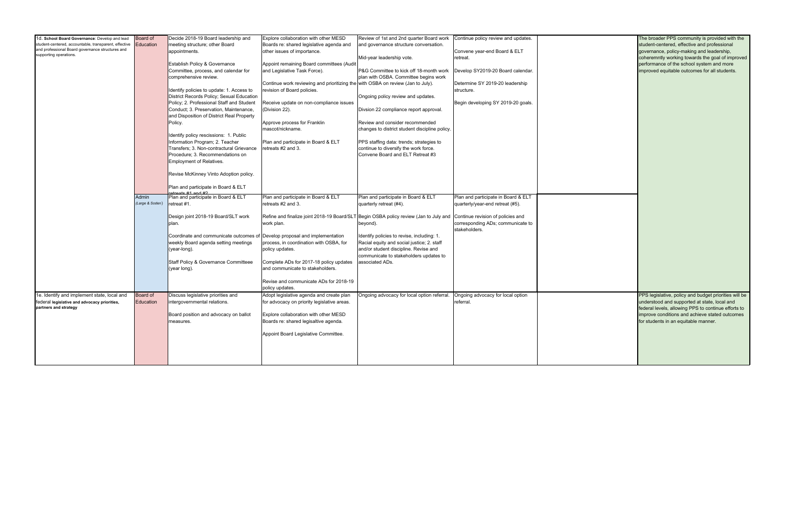| 1d. School Board Governance: Develop and lead         | Board of        | Decide 2018-19 Board leadership and             | Explore collaboration with other MESD                                           | Review of 1st and 2nd quarter Board work                                                                                | Continue policy review and updates. |  |
|-------------------------------------------------------|-----------------|-------------------------------------------------|---------------------------------------------------------------------------------|-------------------------------------------------------------------------------------------------------------------------|-------------------------------------|--|
| student-centered, accountable, transparent, effective | Education       | meeting structure; other Board                  | Boards re: shared legislative agenda and                                        | and governance structure conversation.                                                                                  |                                     |  |
| and professional Board governance structures and      |                 | appointments.                                   | other issues of importance.                                                     |                                                                                                                         | Convene year-end Board & ELT        |  |
| supporting operations.                                |                 |                                                 |                                                                                 |                                                                                                                         |                                     |  |
|                                                       |                 |                                                 |                                                                                 | Mid-year leadership vote.                                                                                               | retreat.                            |  |
|                                                       |                 | Establish Policy & Governance                   | Appoint remaining Board committees (Audit                                       |                                                                                                                         |                                     |  |
|                                                       |                 | Committee, process, and calendar for            | and Legislative Task Force).                                                    | P&G Committee to kick off 18-month work                                                                                 | Develop SY2019-20 Board calendar.   |  |
|                                                       |                 | comprehensive review.                           |                                                                                 | plan with OSBA. Committee begins work                                                                                   |                                     |  |
|                                                       |                 |                                                 | Continue work reviewing and prioritizing the with OSBA on review (Jan to July). |                                                                                                                         | Determine SY 2019-20 leadership     |  |
|                                                       |                 |                                                 |                                                                                 |                                                                                                                         |                                     |  |
|                                                       |                 | Identify policies to update: 1. Access to       | revision of Board policies.                                                     |                                                                                                                         | structure.                          |  |
|                                                       |                 | District Records Policy; Sexual Education       |                                                                                 | Ongoing policy review and updates.                                                                                      |                                     |  |
|                                                       |                 | Policy; 2. Professional Staff and Student       | Receive update on non-compliance issues                                         |                                                                                                                         | Begin developing SY 2019-20 goals.  |  |
|                                                       |                 | Conduct; 3. Preservation, Maintenance,          | (Division 22).                                                                  | Divsion 22 compliance report approval.                                                                                  |                                     |  |
|                                                       |                 | and Disposition of District Real Property       |                                                                                 |                                                                                                                         |                                     |  |
|                                                       |                 |                                                 |                                                                                 |                                                                                                                         |                                     |  |
|                                                       |                 | Policy.                                         | Approve process for Franklin                                                    | Review and consider recommended                                                                                         |                                     |  |
|                                                       |                 |                                                 | mascot/nickname.                                                                | changes to district student discipline policy.                                                                          |                                     |  |
|                                                       |                 | Identify policy rescissions: 1. Public          |                                                                                 |                                                                                                                         |                                     |  |
|                                                       |                 | Information Program; 2. Teacher                 | Plan and participate in Board & ELT                                             | PPS staffing data: trends; strategies to                                                                                |                                     |  |
|                                                       |                 |                                                 |                                                                                 |                                                                                                                         |                                     |  |
|                                                       |                 | Transfers; 3. Non-contractural Grievance        | retreats #2 and 3.                                                              | continue to diversify the work force.                                                                                   |                                     |  |
|                                                       |                 | Procedure; 3. Recommendations on                |                                                                                 | Convene Board and ELT Retreat #3                                                                                        |                                     |  |
|                                                       |                 | <b>Employment of Relatives.</b>                 |                                                                                 |                                                                                                                         |                                     |  |
|                                                       |                 |                                                 |                                                                                 |                                                                                                                         |                                     |  |
|                                                       |                 |                                                 |                                                                                 |                                                                                                                         |                                     |  |
|                                                       |                 | Revise McKinney Vinto Adoption policy.          |                                                                                 |                                                                                                                         |                                     |  |
|                                                       |                 |                                                 |                                                                                 |                                                                                                                         |                                     |  |
|                                                       |                 | Plan and participate in Board & ELT             |                                                                                 |                                                                                                                         |                                     |  |
|                                                       |                 |                                                 |                                                                                 |                                                                                                                         |                                     |  |
|                                                       | Admin           | Plan and participate in Board & ELT             | Plan and participate in Board & ELT                                             | Plan and participate in Board & ELT                                                                                     | Plan and participate in Board & ELT |  |
|                                                       | (Large & Soden) | retreat #1.                                     | retreats #2 and 3.                                                              | quarterly retreat (#4).                                                                                                 | quarterly/year-end retreat (#5).    |  |
|                                                       |                 |                                                 |                                                                                 |                                                                                                                         |                                     |  |
|                                                       |                 |                                                 |                                                                                 |                                                                                                                         |                                     |  |
|                                                       |                 | Design joint 2018-19 Board/SLT work             |                                                                                 | Refine and finalize joint 2018-19 Board/SLT Begin OSBA policy review (Jan to July and Continue revision of policies and |                                     |  |
|                                                       |                 | plan.                                           | work plan.                                                                      | beyond).                                                                                                                | corresponding ADs; communicate to   |  |
|                                                       |                 |                                                 |                                                                                 |                                                                                                                         | stakeholders.                       |  |
|                                                       |                 | Coordinate and communicate outcomes of          | Develop proposal and implementation                                             | Identify policies to revise, including: 1.                                                                              |                                     |  |
|                                                       |                 | weekly Board agenda setting meetings            | process, in coordination with OSBA, for                                         | Racial equity and social justice; 2. staff                                                                              |                                     |  |
|                                                       |                 |                                                 |                                                                                 |                                                                                                                         |                                     |  |
|                                                       |                 | (year-long).                                    | policy updates.                                                                 | and/or student discipline. Revise and                                                                                   |                                     |  |
|                                                       |                 |                                                 |                                                                                 | communicate to stakeholders updates to                                                                                  |                                     |  |
|                                                       |                 | <b>Staff Policy &amp; Governance Committeee</b> | Complete ADs for 2017-18 policy updates                                         | associated ADs.                                                                                                         |                                     |  |
|                                                       |                 | (year long).                                    | and communicate to stakeholders.                                                |                                                                                                                         |                                     |  |
|                                                       |                 |                                                 |                                                                                 |                                                                                                                         |                                     |  |
|                                                       |                 |                                                 |                                                                                 |                                                                                                                         |                                     |  |
|                                                       |                 |                                                 | Revise and communicate ADs for 2018-19                                          |                                                                                                                         |                                     |  |
|                                                       |                 |                                                 | policy updates.                                                                 |                                                                                                                         |                                     |  |
| 1e. Identify and implement state, local and           | Board of        | Discuss legislative priorities and              | Adopt legislative agenda and create plan                                        | Ongoing advocacy for local option referral.                                                                             | Ongoing advocacy for local option   |  |
| federal legislative and advocacy priorities,          | Education       | intergovernmental relations.                    | for advocacy on priority legislative areas.                                     |                                                                                                                         | referral.                           |  |
|                                                       |                 |                                                 |                                                                                 |                                                                                                                         |                                     |  |
| partners and strategy                                 |                 |                                                 |                                                                                 |                                                                                                                         |                                     |  |
|                                                       |                 | Board position and advocacy on ballot           | Explore collaboration with other MESD                                           |                                                                                                                         |                                     |  |
|                                                       |                 | measures.                                       | Boards re: shared legisaltive agenda.                                           |                                                                                                                         |                                     |  |
|                                                       |                 |                                                 |                                                                                 |                                                                                                                         |                                     |  |
|                                                       |                 |                                                 | Appoint Board Legislative Committee.                                            |                                                                                                                         |                                     |  |
|                                                       |                 |                                                 |                                                                                 |                                                                                                                         |                                     |  |
|                                                       |                 |                                                 |                                                                                 |                                                                                                                         |                                     |  |
|                                                       |                 |                                                 |                                                                                 |                                                                                                                         |                                     |  |
|                                                       |                 |                                                 |                                                                                 |                                                                                                                         |                                     |  |
|                                                       |                 |                                                 |                                                                                 |                                                                                                                         |                                     |  |
|                                                       |                 |                                                 |                                                                                 |                                                                                                                         |                                     |  |

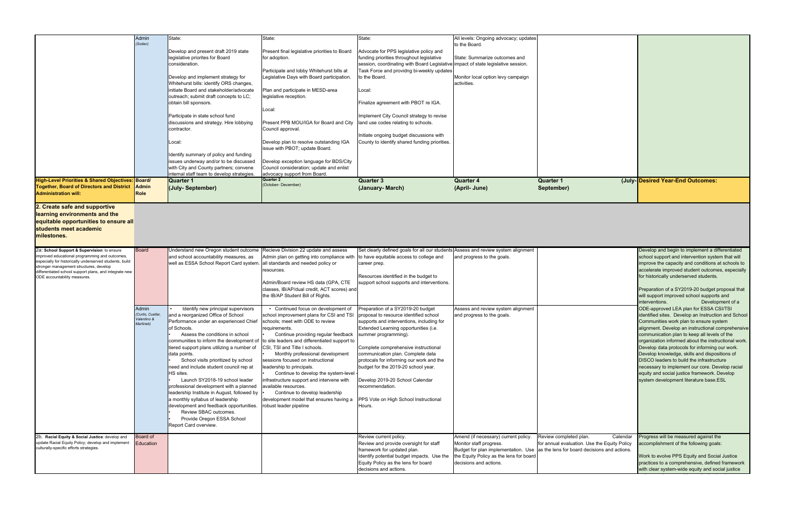| <b>Quarter 1</b><br>September) | (July- Desired Year-End Outcomes: |
|--------------------------------|-----------------------------------|

|                                                                                                                                                                                                                                                               | Admin<br>(Soden)                                      | State:                                                                                                                                                                                                                                                         | State:                                                                                                                                                                                                                                                        | State:                                                                                                                                                                                                                            | All levels: Ongoing advocacy; updates                                                                                                                                       |                                                                  |
|---------------------------------------------------------------------------------------------------------------------------------------------------------------------------------------------------------------------------------------------------------------|-------------------------------------------------------|----------------------------------------------------------------------------------------------------------------------------------------------------------------------------------------------------------------------------------------------------------------|---------------------------------------------------------------------------------------------------------------------------------------------------------------------------------------------------------------------------------------------------------------|-----------------------------------------------------------------------------------------------------------------------------------------------------------------------------------------------------------------------------------|-----------------------------------------------------------------------------------------------------------------------------------------------------------------------------|------------------------------------------------------------------|
|                                                                                                                                                                                                                                                               |                                                       | Develop and present draft 2019 state<br>legislative priorites for Board<br>consideration.                                                                                                                                                                      | Present final legislative priorities to Board<br>for adoption.                                                                                                                                                                                                | Advocate for PPS legislative policy and<br>funding priorities throughout legislative<br>session, coordinating with Board Legislative                                                                                              | to the Board.<br>State: Summarize outcomes and<br>impact of state legislative session.                                                                                      |                                                                  |
|                                                                                                                                                                                                                                                               |                                                       | Develop and implement strategy for<br>Whitehurst bills: identify ORS changes,<br>initiate Board and stakeholder/advocate                                                                                                                                       | Participate and lobby Whitehurst bills at<br>Legislative Days with Board participation.                                                                                                                                                                       | Task Force and providng bi-weekly updates<br>to the Board.                                                                                                                                                                        | Monitor local option levy campaign<br>activities.                                                                                                                           |                                                                  |
|                                                                                                                                                                                                                                                               |                                                       | outreach; submit draft concepts to LC;<br>obtain bill sponsors.                                                                                                                                                                                                | Plan and participate in MESD-area<br>legislative reception.<br>Local:                                                                                                                                                                                         | Local:<br>Finalize agreement with PBOT re IGA.                                                                                                                                                                                    |                                                                                                                                                                             |                                                                  |
|                                                                                                                                                                                                                                                               |                                                       | Participate in state school fund<br>discussions and strategy. Hire lobbying<br>contractor.                                                                                                                                                                     | Present PPB MOU/IGA for Board and City<br>Council approval.                                                                                                                                                                                                   | Implement City Council strategy to revise<br>land use codes relating to schools.                                                                                                                                                  |                                                                                                                                                                             |                                                                  |
|                                                                                                                                                                                                                                                               |                                                       | Local:                                                                                                                                                                                                                                                         | Develop plan to resolve outstanding IGA<br>issue with PBOT; update Board.                                                                                                                                                                                     | Initiate ongoing budget discussions with<br>County to identify shared funding priorities.                                                                                                                                         |                                                                                                                                                                             |                                                                  |
|                                                                                                                                                                                                                                                               |                                                       | Identify summary of policy and funding<br>issues underway and/or to be discussed<br>with City and County partners; convene                                                                                                                                     | Develop exception language for BDS/City<br>Council consideration; update and enlist                                                                                                                                                                           |                                                                                                                                                                                                                                   |                                                                                                                                                                             |                                                                  |
| High-Level Priorities & Shared Objectives: Board/                                                                                                                                                                                                             |                                                       | internal staff team to develop strategies<br>Quarter 1                                                                                                                                                                                                         | advocacy support from Board.<br>Quarter 2                                                                                                                                                                                                                     | <b>Quarter 3</b>                                                                                                                                                                                                                  | <b>Quarter 4</b>                                                                                                                                                            | <b>Quarter 1</b>                                                 |
| <b>Together, Board of Directors and District</b><br><b>Administration will:</b>                                                                                                                                                                               | <b>Admin</b><br>Role                                  | (July-September)                                                                                                                                                                                                                                               | (October- December)                                                                                                                                                                                                                                           | (January- March)                                                                                                                                                                                                                  | (April- June)                                                                                                                                                               | September)                                                       |
| learning environments and the<br>equitable opportunities to ensure all<br>students meet academic<br>milestones.                                                                                                                                               |                                                       |                                                                                                                                                                                                                                                                |                                                                                                                                                                                                                                                               |                                                                                                                                                                                                                                   |                                                                                                                                                                             |                                                                  |
| 2a: School Support & Supervision: to ensure<br>improved educational programming and outcomes,<br>especially for historically underserved students, build<br>stronger management structures, develop<br>differentiated school support plans, and integrate new | Board                                                 | Understand new Oregon student outcome<br>and school accountability measures, as<br>well as ESSA School Report Card system.                                                                                                                                     | Recieve Division 22 update and assess<br>Admin plan on getting into compliance with<br>all standards and needed policy or<br>resources.                                                                                                                       | Set clearly defined goals for all our students Assess and review system alignment<br>to have equitable access to college and<br>career prep.                                                                                      | and progress to the goals.                                                                                                                                                  |                                                                  |
| ODE accountability measures.                                                                                                                                                                                                                                  |                                                       |                                                                                                                                                                                                                                                                | Admin/Board review HS data (GPA, CTE<br>classes, IB/AP/dual credit, ACT scores) and<br>the IB/AP Student Bill of Rights.                                                                                                                                      | Resources identified in the budget to<br>support school supports and interventions.                                                                                                                                               |                                                                                                                                                                             |                                                                  |
|                                                                                                                                                                                                                                                               | Admin<br>Curtis, Cuellar,<br>Valentino &<br>Martinek) | Identify new principal supervisors<br>and a reorganized Office of School<br>Performance under an experienced Chief<br>of Schools.<br>Assess the conditions in school<br>communities to inform the development of<br>tiered support plans utilizing a number of | • Continued focus on development of<br>school improvement plans for CSI and TSI<br>schools; meet with ODE to review<br>requirements.<br>Continue providing regular feedback<br>to site leaders and differentiated support to<br>CSI, TSI and Title I schools. | Preparation of a SY2019-20 budget<br>proposal to resource identified school<br>supports and interventions, including for<br>Extended Learning opportunities (i.e.<br>summer programming).<br>Complete comprehensive instructional | Assess and review system alignment<br>and progress to the goals.                                                                                                            |                                                                  |
|                                                                                                                                                                                                                                                               |                                                       | data points.<br>School visits prioritized by school<br>need and include student council rep at<br>HS sites.<br>Launch SY2018-19 school leader<br>professional development with a planned                                                                       | Monthly professional development<br>sessions focused on instructional<br>eadership to principals.<br>Continue to develop the system-level<br>infrastructure support and intervene with<br>available resources.                                                | communication plan. Complete data<br>protocals for informing our work and the<br>budget for the 2019-20 school year.<br>Develop 2019-20 School Calendar<br>recommendation.                                                        |                                                                                                                                                                             |                                                                  |
|                                                                                                                                                                                                                                                               |                                                       | leadership Institute in August, followed by<br>a monthly syllabus of leadership<br>development and feedback opportunities.<br>Review SBAC outcomes.<br>Provide Oregon ESSA School<br>Report Card overview.                                                     | Continue to develop leadership<br>development model that ensures having a<br>robust leader pipeline                                                                                                                                                           | PPS Vote on High School Instructional<br>Hours.                                                                                                                                                                                   |                                                                                                                                                                             |                                                                  |
| 2b. Racial Equity & Social Justice: develop and<br>update Racial Equity Policy; develop and implement<br>culturally-specific efforts strategies.                                                                                                              | Board of<br>Education                                 |                                                                                                                                                                                                                                                                |                                                                                                                                                                                                                                                               | Review current policy.<br>Review and provide oversight for staff<br>framework for updated plan.<br>Identify potential budget impacts. Use the<br>Equity Policy as the lens for board<br>decisions and actions.                    | Amend (if necessary) current policy.<br>Monitor staff progress.<br>Budget for plan implementation. Use<br>the Equity Policy as the lens for board<br>decisions and actions. | Review completed<br>for annual evaluatio<br>as the lens for boat |

| Develop and begin to implement a differentiated<br>school support and intervention system that will<br>improve the capacity and conditions at schools to<br>accelerate improved student outcomes, especially<br>for historically underserved students.<br>Preparation of a SY2019-20 budget proposal that<br>will support improved school supports and<br>interventions.<br>Development of a<br>ODE-approved LEA plan for ESSA CSI/TSI<br>identified sites. Develop an Instruction and School<br>Communities work plan to ensure system<br>communication plan to keep all levels of the<br>organization informed about the instructional work.<br>Develop data protocols for informing our work.<br>Develop knowledge, skills and dispositions of<br>DISCO leaders to build the infrastructure<br>necessary to implement our core. Develop racial<br>equity and social justice framework. Develop<br>system development literature base.ESL<br>Progress will be measured against the<br>Review completed plan.<br>Calendar<br>for annual evaluation. Use the Equity Policy<br>accomplishment of the following goals:<br>as the lens for board decisions and actions.<br>Work to evolve PPS Equity and Social Justice<br>practices to a comprehensive, defined framework |                                                   |
|-------------------------------------------------------------------------------------------------------------------------------------------------------------------------------------------------------------------------------------------------------------------------------------------------------------------------------------------------------------------------------------------------------------------------------------------------------------------------------------------------------------------------------------------------------------------------------------------------------------------------------------------------------------------------------------------------------------------------------------------------------------------------------------------------------------------------------------------------------------------------------------------------------------------------------------------------------------------------------------------------------------------------------------------------------------------------------------------------------------------------------------------------------------------------------------------------------------------------------------------------------------------------|---------------------------------------------------|
|                                                                                                                                                                                                                                                                                                                                                                                                                                                                                                                                                                                                                                                                                                                                                                                                                                                                                                                                                                                                                                                                                                                                                                                                                                                                         | alignment. Develop an instructional comprehensive |
|                                                                                                                                                                                                                                                                                                                                                                                                                                                                                                                                                                                                                                                                                                                                                                                                                                                                                                                                                                                                                                                                                                                                                                                                                                                                         |                                                   |
|                                                                                                                                                                                                                                                                                                                                                                                                                                                                                                                                                                                                                                                                                                                                                                                                                                                                                                                                                                                                                                                                                                                                                                                                                                                                         |                                                   |
| with clear system-wide equity and social justice                                                                                                                                                                                                                                                                                                                                                                                                                                                                                                                                                                                                                                                                                                                                                                                                                                                                                                                                                                                                                                                                                                                                                                                                                        |                                                   |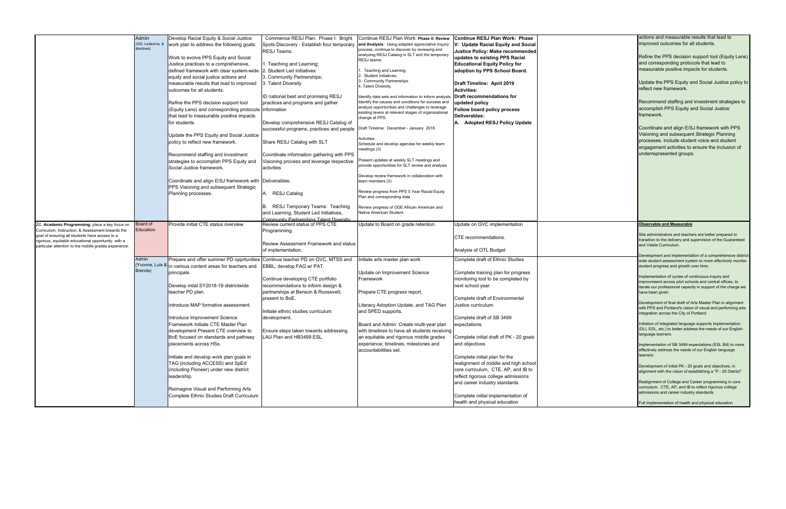|                                                       | Admin                        | Develop Racial Equity & Social Justice    | Commence RESJ Plan: Phase I: Bright         | Continue RESJ Plan Work: Phase II: Review                      | <b>Continue RESJ Plan Work: Phase</b>                               |  |
|-------------------------------------------------------|------------------------------|-------------------------------------------|---------------------------------------------|----------------------------------------------------------------|---------------------------------------------------------------------|--|
|                                                       | (GG, Ledezma, &<br>Martinek) | work plan to address the following goals: | Spots Discovery - Establish four temporary  | and Analysis: Using adapted appreciative inquiry               | V: Update Racial Equity and Social                                  |  |
|                                                       |                              |                                           | <b>RESJ Teams:</b>                          | process, continue to discover by reviewing and                 | Justice Policy: Make recommended                                    |  |
|                                                       |                              | Work to evolve PPS Equity and Social      |                                             | analyzing RESJ Catalog in SLT and the temporary<br>RESJ teams: | updates to existing PPS Racial                                      |  |
|                                                       |                              | Justice practices to a comprehensive,     | 1. Teaching and Learning;                   |                                                                | <b>Educational Equity Policy for</b>                                |  |
|                                                       |                              | defined framework with clear system-wide  | 2. Student Led Initiatives                  | 1. Teaching and Learning;                                      | adoption by PPS School Board.                                       |  |
|                                                       |                              |                                           |                                             | 2. Student Initiatives;                                        |                                                                     |  |
|                                                       |                              | equity and social justice actions and     | 3. Community Partnerships;                  | 3. Community Partnerships                                      |                                                                     |  |
|                                                       |                              | measurable results that lead to improved  | 3. Talent Diversity                         | 4. Talent Diversity.                                           | Draft Timeline: April 2019                                          |  |
|                                                       |                              | outcomes for all students.                |                                             |                                                                | <b>Activities:</b>                                                  |  |
|                                                       |                              |                                           | ID national best and promising RESJ         | Identify data sets and information to inform analysis          | Draft recommendations for                                           |  |
|                                                       |                              | Refine the PPS decision support tool      | practices and programs and gather           | Identify the causes and conditions for success and             | updated policy                                                      |  |
|                                                       |                              | (Equity Lens) and corresponding protocols | information                                 | analyze opportunities and challenges to leverage               | Follow board policy process                                         |  |
|                                                       |                              | that lead to measurable positive impacts  |                                             | existing levers at relevant stages of organizational           | Deliverables:                                                       |  |
|                                                       |                              |                                           |                                             | change at PPS.                                                 |                                                                     |  |
|                                                       |                              | for students.                             | Develop comprehensive RESJ Catalog of       |                                                                | A. Adopted RESJ Policy Update                                       |  |
|                                                       |                              |                                           | successful programs, practices and people   | Draft Timeline: December - January 2018                        |                                                                     |  |
|                                                       |                              | Update the PPS Equity and Social Justice  |                                             |                                                                |                                                                     |  |
|                                                       |                              | policy to reflect new framework.          | Share RESJ Catalog with SLT                 | Activities:                                                    |                                                                     |  |
|                                                       |                              |                                           |                                             | Schedule and develop agendas for weekly team                   |                                                                     |  |
|                                                       |                              | Recommend staffing and investment         | Coordinate information gathering with PPS   | meetings (3)                                                   |                                                                     |  |
|                                                       |                              |                                           |                                             | Present updates at weekly SLT meetings and                     |                                                                     |  |
|                                                       |                              | strategies to accomplish PPS Equity and   | Visioning process and leverage respective   | provide opportunities for SLT review and analysis              |                                                                     |  |
|                                                       |                              | Social Justice framework.                 | activities                                  |                                                                |                                                                     |  |
|                                                       |                              |                                           |                                             | Develop review framework in collaboration with                 |                                                                     |  |
|                                                       |                              | Coordinate and align E/SJ framework with  | Deliverables:                               | team members (3)                                               |                                                                     |  |
|                                                       |                              | PPS Visioning and subsequent Strategic    |                                             |                                                                |                                                                     |  |
|                                                       |                              | Planning processes.                       | A. RESJ Catalog                             | Review progress from PPS 5 Year Racial Equity                  |                                                                     |  |
|                                                       |                              |                                           |                                             | Plan and corresponding data                                    |                                                                     |  |
|                                                       |                              |                                           |                                             |                                                                |                                                                     |  |
|                                                       |                              |                                           | <b>RESJ Temporary Teams: Teaching</b><br>В. | Review progress of ODE African American and                    |                                                                     |  |
|                                                       |                              |                                           | and Learning, Student Led Initiatives,      | Native American Student                                        |                                                                     |  |
|                                                       |                              |                                           | Community Partnershins Talent Diversity     |                                                                |                                                                     |  |
| 2c. Academic Programming: place a key focus on        | Board of                     | Provide initial CTE status overview       | Review current status of PPS CTE            | Update to Board on grade retention.                            | Update on GVC implementation                                        |  |
| Curriculum, Instruction, & Assessment towards the     | Education                    |                                           | Programming.                                |                                                                |                                                                     |  |
| goal of ensuring all students have access to a        |                              |                                           |                                             |                                                                | CTE recommendations.                                                |  |
| rigorous, equitable educational opportunity, with a   |                              |                                           | Review Assessment Framework and status      |                                                                |                                                                     |  |
| particular attention to the middle grades experience. |                              |                                           | of implementation.                          |                                                                | Analysis of OTL Budget                                              |  |
|                                                       |                              |                                           |                                             |                                                                |                                                                     |  |
|                                                       | Admin                        | Prepare and offer summer PD opprtunities  | Continue teacher PD on GVC, MTSS and        | nitiate arts master plan work                                  | Complete draft of Ethnic Studies                                    |  |
|                                                       |                              |                                           |                                             |                                                                |                                                                     |  |
|                                                       | (Yvonne, Luis &              |                                           |                                             |                                                                |                                                                     |  |
|                                                       | Brenda)                      | in various content areas for teachers and | EBBL; develop FAQ w/ PAT.                   |                                                                |                                                                     |  |
|                                                       |                              | principals.                               |                                             | Update on Improvement Science                                  | Complete training plan for progress                                 |  |
|                                                       |                              |                                           | Continue developing CTE portfolio           | Framework                                                      | monitoring tool to be completed by                                  |  |
|                                                       |                              | Develop intial SY2018-19 districtwide     | recommendations to inform design &          |                                                                | next school year                                                    |  |
|                                                       |                              | teacher PD plan.                          | partnerships at Benson & Roosevelt;         | Prepare CTE progress report,                                   |                                                                     |  |
|                                                       |                              |                                           | present to BoE.                             |                                                                | Complete draft of Environmental                                     |  |
|                                                       |                              | Introduce MAP formative assessment.       |                                             | Literacy Adoption Update, and TAG Plan                         | Justice curriculum                                                  |  |
|                                                       |                              |                                           | Initiate ethnic studies curriculum          | and SPED supports.                                             |                                                                     |  |
|                                                       |                              |                                           |                                             |                                                                |                                                                     |  |
|                                                       |                              | Introduce Improvement Science             | development.                                |                                                                | Complete draft of SB 3499                                           |  |
|                                                       |                              | Framework Initiate CTE Master Plan        |                                             | Board and Admin: Create multi-year plan                        | expectations                                                        |  |
|                                                       |                              | development Present CTE overview to       | Ensure steps taken towards addressing       | with timelines to have all students receiving                  |                                                                     |  |
|                                                       |                              | BoE focused on standards and pathway      | LAU Plan and HB3499 ESL.                    | an equitable and rigorous middle grades                        | Complete initial draft of PK - 20 goals                             |  |
|                                                       |                              | placements across HSs.                    |                                             | experience; timelines, milestones and                          | and objectives                                                      |  |
|                                                       |                              |                                           |                                             | accountabilities set.                                          |                                                                     |  |
|                                                       |                              |                                           |                                             |                                                                | Complete initial plan for the                                       |  |
|                                                       |                              | Initiate and develop work plan goals in   |                                             |                                                                |                                                                     |  |
|                                                       |                              | TAG (including ACCESS) and SpEd           |                                             |                                                                | realignment of middle and high school                               |  |
|                                                       |                              | (including Pioneer) under new district    |                                             |                                                                | core curriculum, CTE, AP, and IB to                                 |  |
|                                                       |                              | leadership.                               |                                             |                                                                | reflect rigorous college admissions                                 |  |
|                                                       |                              |                                           |                                             |                                                                | and career industry standards                                       |  |
|                                                       |                              | Reimagine Visual and Performing Arts      |                                             |                                                                |                                                                     |  |
|                                                       |                              |                                           |                                             |                                                                |                                                                     |  |
|                                                       |                              | Complete Ethnic Studies Draft Curriculum  |                                             |                                                                | Complete initial implementation of<br>health and physical education |  |

| actions and measurable results that lead to<br>improved outcomes for all students.<br>Refine the PPS decision support tool (Equity Lens)<br>and corresponding protocols that lead to<br>measurable positive impacts for students.<br>Update the PPS Equity and Social Justice policy to<br>reflect new framework.<br>Recommend staffing and investment strategies to<br>accomplish PPS Equity and Social Justice<br>framework.<br>Coordinate and align E/SJ framework with PPS<br>Visioning and subsequent Strategic Planning<br>processes. Include student voice and student<br>engagement activities to ensure the inclusion of<br>underrepresented groups.<br><b>Observable and Measurable</b><br>Site administrators and teachers are better prepared to<br>transition to the delivery and supervision of the Guaranteed<br>and Viable Curriculum.<br>Development and implementation of a comprehensive district-<br>wide student assessment system to more effectively monitor<br>student progress and growth over time.<br>Implementation of cycles of continuous inquiry and<br>improvmeent across pilot schools and central offices, to<br>iterate our professional capacity in support of the charge we<br>have been given<br>Development of final draft of Arts Master Plan in alignment<br>with PPS and Portland's vision of visual and performing arts<br>integration across the City of Portland<br>Initiation of integrated language supports implementation<br>(DLI, ESL, etc.) to better address the needs of our English<br>language learners<br>Implementation of SB 3499 expectations (ESL Bill) to more<br>effectively address the needs of our English language<br>learners<br>Development of initial PK - 20 goals and objectives, in<br>alignment with the vision of establishing a "P - 20 District"<br>Realignment of College and Career programming in core<br>curriculum, CTE, AP, and IB to reflect rigorous college<br>admissions and career industry standards<br>Full implementation of health and physical education |  |
|------------------------------------------------------------------------------------------------------------------------------------------------------------------------------------------------------------------------------------------------------------------------------------------------------------------------------------------------------------------------------------------------------------------------------------------------------------------------------------------------------------------------------------------------------------------------------------------------------------------------------------------------------------------------------------------------------------------------------------------------------------------------------------------------------------------------------------------------------------------------------------------------------------------------------------------------------------------------------------------------------------------------------------------------------------------------------------------------------------------------------------------------------------------------------------------------------------------------------------------------------------------------------------------------------------------------------------------------------------------------------------------------------------------------------------------------------------------------------------------------------------------------------------------------------------------------------------------------------------------------------------------------------------------------------------------------------------------------------------------------------------------------------------------------------------------------------------------------------------------------------------------------------------------------------------------------------------------------------------------------------------------------------------------------------|--|
|                                                                                                                                                                                                                                                                                                                                                                                                                                                                                                                                                                                                                                                                                                                                                                                                                                                                                                                                                                                                                                                                                                                                                                                                                                                                                                                                                                                                                                                                                                                                                                                                                                                                                                                                                                                                                                                                                                                                                                                                                                                      |  |
|                                                                                                                                                                                                                                                                                                                                                                                                                                                                                                                                                                                                                                                                                                                                                                                                                                                                                                                                                                                                                                                                                                                                                                                                                                                                                                                                                                                                                                                                                                                                                                                                                                                                                                                                                                                                                                                                                                                                                                                                                                                      |  |
|                                                                                                                                                                                                                                                                                                                                                                                                                                                                                                                                                                                                                                                                                                                                                                                                                                                                                                                                                                                                                                                                                                                                                                                                                                                                                                                                                                                                                                                                                                                                                                                                                                                                                                                                                                                                                                                                                                                                                                                                                                                      |  |
|                                                                                                                                                                                                                                                                                                                                                                                                                                                                                                                                                                                                                                                                                                                                                                                                                                                                                                                                                                                                                                                                                                                                                                                                                                                                                                                                                                                                                                                                                                                                                                                                                                                                                                                                                                                                                                                                                                                                                                                                                                                      |  |
|                                                                                                                                                                                                                                                                                                                                                                                                                                                                                                                                                                                                                                                                                                                                                                                                                                                                                                                                                                                                                                                                                                                                                                                                                                                                                                                                                                                                                                                                                                                                                                                                                                                                                                                                                                                                                                                                                                                                                                                                                                                      |  |
|                                                                                                                                                                                                                                                                                                                                                                                                                                                                                                                                                                                                                                                                                                                                                                                                                                                                                                                                                                                                                                                                                                                                                                                                                                                                                                                                                                                                                                                                                                                                                                                                                                                                                                                                                                                                                                                                                                                                                                                                                                                      |  |
|                                                                                                                                                                                                                                                                                                                                                                                                                                                                                                                                                                                                                                                                                                                                                                                                                                                                                                                                                                                                                                                                                                                                                                                                                                                                                                                                                                                                                                                                                                                                                                                                                                                                                                                                                                                                                                                                                                                                                                                                                                                      |  |
|                                                                                                                                                                                                                                                                                                                                                                                                                                                                                                                                                                                                                                                                                                                                                                                                                                                                                                                                                                                                                                                                                                                                                                                                                                                                                                                                                                                                                                                                                                                                                                                                                                                                                                                                                                                                                                                                                                                                                                                                                                                      |  |
|                                                                                                                                                                                                                                                                                                                                                                                                                                                                                                                                                                                                                                                                                                                                                                                                                                                                                                                                                                                                                                                                                                                                                                                                                                                                                                                                                                                                                                                                                                                                                                                                                                                                                                                                                                                                                                                                                                                                                                                                                                                      |  |
|                                                                                                                                                                                                                                                                                                                                                                                                                                                                                                                                                                                                                                                                                                                                                                                                                                                                                                                                                                                                                                                                                                                                                                                                                                                                                                                                                                                                                                                                                                                                                                                                                                                                                                                                                                                                                                                                                                                                                                                                                                                      |  |
|                                                                                                                                                                                                                                                                                                                                                                                                                                                                                                                                                                                                                                                                                                                                                                                                                                                                                                                                                                                                                                                                                                                                                                                                                                                                                                                                                                                                                                                                                                                                                                                                                                                                                                                                                                                                                                                                                                                                                                                                                                                      |  |
|                                                                                                                                                                                                                                                                                                                                                                                                                                                                                                                                                                                                                                                                                                                                                                                                                                                                                                                                                                                                                                                                                                                                                                                                                                                                                                                                                                                                                                                                                                                                                                                                                                                                                                                                                                                                                                                                                                                                                                                                                                                      |  |
|                                                                                                                                                                                                                                                                                                                                                                                                                                                                                                                                                                                                                                                                                                                                                                                                                                                                                                                                                                                                                                                                                                                                                                                                                                                                                                                                                                                                                                                                                                                                                                                                                                                                                                                                                                                                                                                                                                                                                                                                                                                      |  |
|                                                                                                                                                                                                                                                                                                                                                                                                                                                                                                                                                                                                                                                                                                                                                                                                                                                                                                                                                                                                                                                                                                                                                                                                                                                                                                                                                                                                                                                                                                                                                                                                                                                                                                                                                                                                                                                                                                                                                                                                                                                      |  |
|                                                                                                                                                                                                                                                                                                                                                                                                                                                                                                                                                                                                                                                                                                                                                                                                                                                                                                                                                                                                                                                                                                                                                                                                                                                                                                                                                                                                                                                                                                                                                                                                                                                                                                                                                                                                                                                                                                                                                                                                                                                      |  |
|                                                                                                                                                                                                                                                                                                                                                                                                                                                                                                                                                                                                                                                                                                                                                                                                                                                                                                                                                                                                                                                                                                                                                                                                                                                                                                                                                                                                                                                                                                                                                                                                                                                                                                                                                                                                                                                                                                                                                                                                                                                      |  |
|                                                                                                                                                                                                                                                                                                                                                                                                                                                                                                                                                                                                                                                                                                                                                                                                                                                                                                                                                                                                                                                                                                                                                                                                                                                                                                                                                                                                                                                                                                                                                                                                                                                                                                                                                                                                                                                                                                                                                                                                                                                      |  |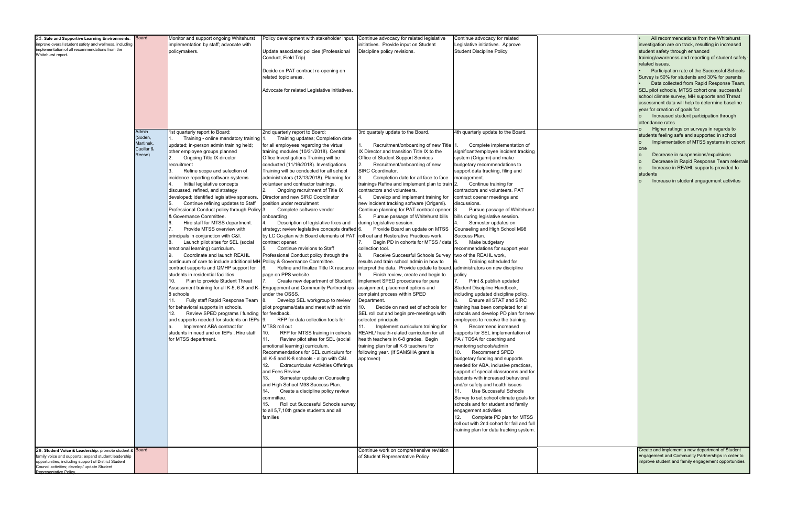| 2d. Safe and Supportive Learning Environments:<br>mprove overall student safety and wellness, including<br>implementation of all recommendations from the<br>Whitehurst report.      | <b>Board</b><br>Admin<br>(Soden,<br>Martinek, | Monitor and support ongoing Whitehurst<br>implementation by staff; advocate with<br>policymakers.<br>1st quarterly report to Board:<br>Training - online mandatory training 1.<br>1.<br>updated; in-person admin training held;                                                                                                                                                                                                                                                                                                                                                                                                                                                                                                                                                                                                                                                                                                                                                                                                                                                                                                                      | Policy development with stakeholder input.<br>Update associated policies (Professional<br>Conduct, Field Trip).<br>Decide on PAT contract re-opening on<br>related topic areas.<br>Advocate for related Legislative initiatives.<br>2nd quarterly report to Board:<br>Training updates; Completion date<br>for all employees regarding the virtual                                                                                                                                                                                                                                                                                                                                                                                                                                                                                                                                                                                                                                                                                                                                                                                                                                                                                                                                                                                                                                                                                                                                                                                                               | Continue advocacy for related legislative<br>initiatives. Provide input on Student<br>Discipline policy revisions.<br>3rd quartely update to the Board.<br>Recruitment/onboarding of new Title 1.<br>1.                                                                                                                                                                                                                                                                                                                                                                                                                                                                                                                                                                                                                                                                                                                                                                                                                                                                                                                                                                                                                                                                                                                                              | Continue advocacy for related<br>Legislative initiatives. Approve<br><b>Student Discipline Policy</b><br>4th quarterly update to the Board.<br>Complete implementation of                                                                                                                                                                                                                                                                                                                                                                                                                                                                                                                                                                                                                                                                                                                                                                                                                                                                                                                                                                                                                                                                                                                                                                                                                                                                  |  |
|--------------------------------------------------------------------------------------------------------------------------------------------------------------------------------------|-----------------------------------------------|------------------------------------------------------------------------------------------------------------------------------------------------------------------------------------------------------------------------------------------------------------------------------------------------------------------------------------------------------------------------------------------------------------------------------------------------------------------------------------------------------------------------------------------------------------------------------------------------------------------------------------------------------------------------------------------------------------------------------------------------------------------------------------------------------------------------------------------------------------------------------------------------------------------------------------------------------------------------------------------------------------------------------------------------------------------------------------------------------------------------------------------------------|------------------------------------------------------------------------------------------------------------------------------------------------------------------------------------------------------------------------------------------------------------------------------------------------------------------------------------------------------------------------------------------------------------------------------------------------------------------------------------------------------------------------------------------------------------------------------------------------------------------------------------------------------------------------------------------------------------------------------------------------------------------------------------------------------------------------------------------------------------------------------------------------------------------------------------------------------------------------------------------------------------------------------------------------------------------------------------------------------------------------------------------------------------------------------------------------------------------------------------------------------------------------------------------------------------------------------------------------------------------------------------------------------------------------------------------------------------------------------------------------------------------------------------------------------------------|------------------------------------------------------------------------------------------------------------------------------------------------------------------------------------------------------------------------------------------------------------------------------------------------------------------------------------------------------------------------------------------------------------------------------------------------------------------------------------------------------------------------------------------------------------------------------------------------------------------------------------------------------------------------------------------------------------------------------------------------------------------------------------------------------------------------------------------------------------------------------------------------------------------------------------------------------------------------------------------------------------------------------------------------------------------------------------------------------------------------------------------------------------------------------------------------------------------------------------------------------------------------------------------------------------------------------------------------------|--------------------------------------------------------------------------------------------------------------------------------------------------------------------------------------------------------------------------------------------------------------------------------------------------------------------------------------------------------------------------------------------------------------------------------------------------------------------------------------------------------------------------------------------------------------------------------------------------------------------------------------------------------------------------------------------------------------------------------------------------------------------------------------------------------------------------------------------------------------------------------------------------------------------------------------------------------------------------------------------------------------------------------------------------------------------------------------------------------------------------------------------------------------------------------------------------------------------------------------------------------------------------------------------------------------------------------------------------------------------------------------------------------------------------------------------|--|
| 2e. Student Voice & Leadership: promote student & Board                                                                                                                              | Cuellar &<br>Reese)                           | other employee groups planned<br>Ongoing Title IX director<br>recruitment<br>Refine scope and selection of<br>incidence reporting software systems<br>Initial legislative concepts<br>discussed, refined, and strategy<br>developed; identified legislative sponsors.<br>Continue refining updates to Staff<br>Professional Conduct policy through Policy 3.<br>& Governance Committee.<br>Hire staff for MTSS department.<br>6.<br>7.<br>Provide MTSS overview with<br>principals in conjunction with C&I.<br>Launch pilot sites for SEL (social<br>8.<br>emotional learning) curriculum.<br>Coordinate and launch REAHL<br>9.<br>continuum of care to include additional MH Policy & Governance Committee.<br>contract supports and QMHP support for<br>students in residential facilities<br>Plan to provide Student Threat<br>10.<br>8 schools<br>Fully staff Rapid Response Team 8.<br>11.<br>for behavioral supports in schools.<br>Review SPED programs / funding for feedback.<br>12.<br>and supports needed for students on IEPs 9.<br>Implement ABA contract for<br>a.<br>students in need and on IEPs. Hire staff<br>for MTSS department. | training modules (10/31/2018). Central<br>Office Investigations Training will be<br>conducted (11/16/2018). Investigations<br>Training will be conducted for all school<br>administrators (12/13/2018). Planning for<br>volunteer and contractor trainings.<br>Ongoing recruitment of Title IX<br>Director and new SIRC Coordinator<br>position under recruitment<br>Complete software vendor<br>onboarding<br>4.<br>Description of legislative fixes and<br>strategy; review legislative concepts drafted 6.<br>by LC Co-plan with Board elements of PAT<br>contract opener.<br>Continue revisions to Staff<br>5.<br>Professional Conduct policy through the<br>Refine and finalize Title IX resource<br>6.<br>page on PPS website.<br>Create new department of Student<br>17.<br>Assessment training for all K-5, 6-8 and K- Engagement and Community Partnerships<br>under the OSSS.<br>Develop SEL workgroup to review<br>pilot programs/data and meet with admin<br>RFP for data collection tools for<br>MTSS roll out<br>10.<br>RFP for MTSS training in cohorts<br>11.<br>Review pilot sites for SEL (social<br>emotional learning) curriculum.<br>Recommendations for SEL curriculum for<br>all K-5 and K-8 schools - align with C&I.<br><b>Extracurricular Activities Offerings</b><br>12.<br>and Fees Review<br>Semester update on Counseling<br>13.<br>and High School M98 Success Plan.<br>Create a discipline policy review<br>14.<br>committee.<br>15.<br>Roll out Successful Schools survey<br>to all 5,7,10th grade students and all<br>families | IX Director and transition Title IX to the<br>Office of Student Support Services<br>Recruitment/onboarding of new<br>SIRC Coordinator.<br>Completion date for all face to face<br>trainings Refine and implement plan to train 2.<br>contractors and volunteers.<br>Develop and implement training for<br>new incident tracking software (Origami).<br>Continue planning for PAT contract opener. 3.<br>Pursue passage of Whitehurst bills<br>during legislative session.<br>Provide Board an update on MTSS<br>roll out and Restorative Practices work.<br>Begin PD in cohorts for MTSS / data [5.]<br>collection tool.<br>Receive Successful Schools Survey<br>results and train school admin in how to<br>interpret the data. Provide update to board. administrators on new discipline<br>Finish review, create and begin to<br>implement SPED procedures for para<br>assignment, placement options and<br>complaint process within SPED<br>Department.<br>Decide on next set of schools for<br>10.<br>SEL roll out and begin pre-meetings with<br>selected principals.<br>11.<br>Implement curriculum training for<br>REAHL/ health-related curriculum for all<br>health teachers in 6-8 grades. Begin<br>training plan for all K-5 teachers for<br>following year. (If SAMSHA grant is<br>approved)<br>Continue work on comprehensive revision | significant/employee incident tracking<br>system (Origami) and make<br>budgetary recommendations to<br>support data tracking, filing and<br>management.<br>Continue training for<br>contractors and volunteers. PAT<br>contract opener meetings and<br>discussions.<br>Pursue passage of Whitehurst<br>bills during legislative session.<br>Semester updates on<br>Counseling and High School M98<br>Success Plan.<br>Make budgetary<br>recommendations for support year<br>two of the REAHL work,<br>6.<br>Training scheduled for<br>policy<br>7.<br>Print & publish updated<br>Student Discipline Handbook,<br>including updated discipline policy.<br>Ensure all STAT and SIRC<br>8.<br>training has been completed for all<br>schools and develop PD plan for new<br>employees to receive the training.<br>Recommend increased<br>9.<br>supports for SEL implementation of<br>PA / TOSA for coaching and<br>mentoring schools/admin<br><b>Recommend SPED</b><br>10.<br>budgetary funding and supports<br>needed for ABA, inclusive practices,<br>support of special classrooms and for<br>students with increased behavioral<br>and/or safety and health issues<br>Use Successful Schools<br>11.<br>Survey to set school climate goals for<br>schools and for student and family<br>engagement activities<br>Complete PD plan for MTSS<br>12.<br>roll out with 2nd cohort for fall and full<br>training plan for data tracking system. |  |
| amily voice and supports; expand student leadership<br>opportunities, including support of District Student<br>Council activities; develop/ update Student<br>Representative Policy. |                                               |                                                                                                                                                                                                                                                                                                                                                                                                                                                                                                                                                                                                                                                                                                                                                                                                                                                                                                                                                                                                                                                                                                                                                      |                                                                                                                                                                                                                                                                                                                                                                                                                                                                                                                                                                                                                                                                                                                                                                                                                                                                                                                                                                                                                                                                                                                                                                                                                                                                                                                                                                                                                                                                                                                                                                  | of Student Representative Policy                                                                                                                                                                                                                                                                                                                                                                                                                                                                                                                                                                                                                                                                                                                                                                                                                                                                                                                                                                                                                                                                                                                                                                                                                                                                                                                     |                                                                                                                                                                                                                                                                                                                                                                                                                                                                                                                                                                                                                                                                                                                                                                                                                                                                                                                                                                                                                                                                                                                                                                                                                                                                                                                                                                                                                                            |  |

| All recommendations from the Whitehurst<br>investigation are on track, resulting in increased<br>student safety through enhanced<br>training/awareness and reporting of student safety-<br>related issues.<br>Participation rate of the Successful Schools<br>Survey is 50% for students and 30% for parents<br>Data collected from Rapid Response Team,<br>SEL pilot schools, MTSS cohort one, successful<br>school climate survey, MH supports and Threat<br>assessment data will help to determine baseline<br>year for creation of goals for:<br>Increased student participation through<br>o<br>attendance rates<br>Higher ratings on surveys in regards to<br>$\circ$<br>students feeling safe and supported in school<br>Implementation of MTSS systems in cohort<br>o<br>one<br>Decrease in suspensions/expulsions<br>о<br>Decrease in Rapid Response Team referrals<br>О<br>Increase in REAHL supports provided to<br>$\circ$<br>students<br>Increase in student engagement activites<br>o |
|-----------------------------------------------------------------------------------------------------------------------------------------------------------------------------------------------------------------------------------------------------------------------------------------------------------------------------------------------------------------------------------------------------------------------------------------------------------------------------------------------------------------------------------------------------------------------------------------------------------------------------------------------------------------------------------------------------------------------------------------------------------------------------------------------------------------------------------------------------------------------------------------------------------------------------------------------------------------------------------------------------|
| Create and implement a new department of Student                                                                                                                                                                                                                                                                                                                                                                                                                                                                                                                                                                                                                                                                                                                                                                                                                                                                                                                                                    |
| engagement and Community Partnerships in order to<br>improve student and family engagement opportunities                                                                                                                                                                                                                                                                                                                                                                                                                                                                                                                                                                                                                                                                                                                                                                                                                                                                                            |
|                                                                                                                                                                                                                                                                                                                                                                                                                                                                                                                                                                                                                                                                                                                                                                                                                                                                                                                                                                                                     |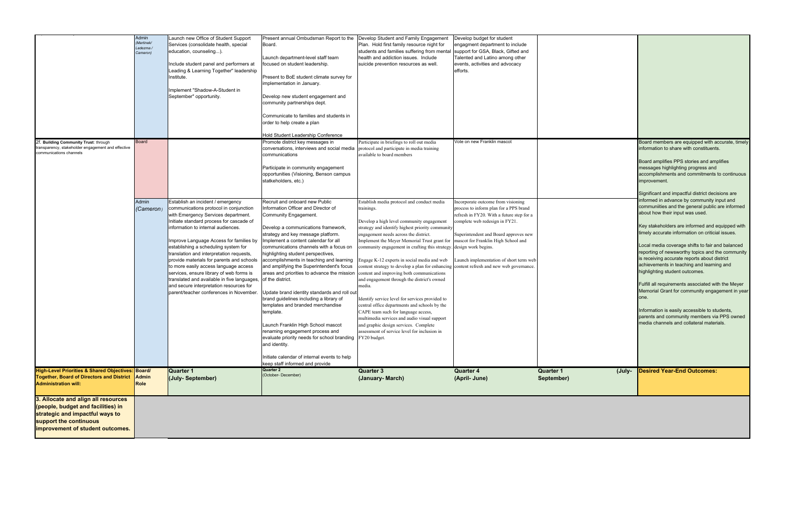|                                                                                                                                                                            | Admin<br>'Martinek/<br>Ledezma /<br>Cameron) | Launch new Office of Student Support<br>Services (consolidate health, special<br>education, counseling).<br>Include student panel and performers at<br>Leading & Learning Together" leadership<br>Institute.<br>Implement "Shadow-A-Student in<br>September" opportunity.                                                                                                                                                                                                                                                                                                                                 | Present annual Ombudsman Report to the<br>Board.<br>Launch department-level staff team<br>focused on student leadership.<br>Present to BoE student climate survey for<br>implementation in January.<br>Develop new student engagement and<br>community partnerships dept.<br>Communicate to families and students in<br>order to help create a plan                                                                                                                                                                                                                                                                                                                                                                                                                                                                                       | Develop Student and Family Engagement<br>Plan. Hold first family resource night for<br>students and families suffering from mental<br>health and addiction issues. Include<br>suicide prevention resources as well.                                                                                                                                                                                                                                                                                                                                                                                                                                                                                                                                                                                                                                                            | Develop budget for student<br>engagment department to include<br>support for GSA, Black, Gifted and<br>Talented and Latino among other<br>events, activities and advocacy<br>efforts.                                                                                                  |                                |
|----------------------------------------------------------------------------------------------------------------------------------------------------------------------------|----------------------------------------------|-----------------------------------------------------------------------------------------------------------------------------------------------------------------------------------------------------------------------------------------------------------------------------------------------------------------------------------------------------------------------------------------------------------------------------------------------------------------------------------------------------------------------------------------------------------------------------------------------------------|-------------------------------------------------------------------------------------------------------------------------------------------------------------------------------------------------------------------------------------------------------------------------------------------------------------------------------------------------------------------------------------------------------------------------------------------------------------------------------------------------------------------------------------------------------------------------------------------------------------------------------------------------------------------------------------------------------------------------------------------------------------------------------------------------------------------------------------------|--------------------------------------------------------------------------------------------------------------------------------------------------------------------------------------------------------------------------------------------------------------------------------------------------------------------------------------------------------------------------------------------------------------------------------------------------------------------------------------------------------------------------------------------------------------------------------------------------------------------------------------------------------------------------------------------------------------------------------------------------------------------------------------------------------------------------------------------------------------------------------|----------------------------------------------------------------------------------------------------------------------------------------------------------------------------------------------------------------------------------------------------------------------------------------|--------------------------------|
| 2f. Building Community Trust: through<br>ransparency, stakeholder engagement and effective<br>communications channels                                                      | <b>Board</b>                                 |                                                                                                                                                                                                                                                                                                                                                                                                                                                                                                                                                                                                           | Hold Student Leadership Conference<br>Promote district key messages in<br>conversations, interviews and social media<br>communications<br>Participate in community engagement<br>opportunities (Visioning, Benson campus<br>statkeholders, etc.)                                                                                                                                                                                                                                                                                                                                                                                                                                                                                                                                                                                          | Participate in briefings to roll out media<br>protocol and participate in media training<br>available to board members                                                                                                                                                                                                                                                                                                                                                                                                                                                                                                                                                                                                                                                                                                                                                         | Vote on new Franklin mascot                                                                                                                                                                                                                                                            |                                |
|                                                                                                                                                                            | Admin<br>(Cameron)                           | Establish an incident / emergency<br>communications protocol in conjunction<br>with Emergency Services department.<br>Initiate standard process for cascade of<br>information to internal audiences.<br>Improve Language Access for families by<br>establishing a scheduling system for<br>translation and interpretation requests,<br>provide materials for parents and schools<br>to more easily access language access<br>services, ensure library of web forms is<br>translated and available in five languages,<br>and secure interpretation resources for<br>parent/teacher conferences in November | Recruit and onboard new Public<br>Information Officer and Director of<br>Community Engagement.<br>Develop a communications framework,<br>strategy and key message platform.<br>Implement a content calendar for all<br>communications channels with a focus on<br>highlighting student perspectives,<br>accomplishments in teaching and learning<br>and amplifying the Superintendent's focus<br>areas and priorities to advance the mission<br>of the district.<br>Update brand identity standards and roll out<br>brand guidelines including a library of<br>templates and branded merchandise<br>template.<br>Launch Franklin High School mascot<br>renaming engagement process and<br>evaluate priority needs for school branding<br>and identity.<br>Initiate calendar of internal events to help<br>keep staff informed and provide | Establish media protocol and conduct media<br>trainings.<br>Develop a high level community engagement<br>strategy and identify highest priority community<br>engagement needs across the district.<br>Implement the Meyer Memorial Trust grant for<br>community engagement in crafting this strategy. design work begins.<br>Engage K-12 experts in social media and web<br>content strategy to develop a plan for enhancing content refresh and new web governance.<br>content and improving both communications<br>and engagement through the district's owned<br>media.<br>Identify service level for services provided to<br>central office departments and schools by the<br>CAPE team such for language access,<br>multimedia services and audio visual support<br>and graphic design services. Complete<br>assessment of service level for inclusion in<br>FY20 budget. | Incorporate outcome from visioning<br>process to inform plan for a PPS brand<br>refresh in FY20. With a future step for a<br>complete web redesign in FY21.<br>Superintendent and Board approves new<br>mascot for Franklin High School and<br>Launch implementation of short term web |                                |
| <b>High-Level Priorities &amp; Shared Objectives: Board/</b><br><b>Together, Board of Directors and District</b><br><b>Administration will:</b>                            | Admin<br>Role                                | Quarter 1<br>(July-September)                                                                                                                                                                                                                                                                                                                                                                                                                                                                                                                                                                             | <b>Quarter 2</b><br>(October- December)                                                                                                                                                                                                                                                                                                                                                                                                                                                                                                                                                                                                                                                                                                                                                                                                   | <b>Quarter 3</b><br>(January- March)                                                                                                                                                                                                                                                                                                                                                                                                                                                                                                                                                                                                                                                                                                                                                                                                                                           | <b>Quarter 4</b><br>(April- June)                                                                                                                                                                                                                                                      | <b>Quarter 1</b><br>September) |
| 3. Allocate and align all resources<br>(people, budget and facilities) in<br>strategic and impactful ways to<br>support the continuous<br>improvement of student outcomes. |                                              |                                                                                                                                                                                                                                                                                                                                                                                                                                                                                                                                                                                                           |                                                                                                                                                                                                                                                                                                                                                                                                                                                                                                                                                                                                                                                                                                                                                                                                                                           |                                                                                                                                                                                                                                                                                                                                                                                                                                                                                                                                                                                                                                                                                                                                                                                                                                                                                |                                                                                                                                                                                                                                                                                        |                                |

|                                |        | Board members are equipped with accurate, timely<br>information to share with constituents.<br>Board amplifies PPS stories and amplifies<br>messages highlighting progress and<br>accomplishments and commitments to continuous<br>improvement.<br>Significant and impactful district decisions are<br>informed in advance by community input and<br>communiities and the general public are informed<br>about how their input was used.<br>Key stakeholders are informed and equipped with<br>timely accurate information on criticial issues.<br>Local media coverage shifts to fair and balanced<br>reporting of newsworthy topics and the community<br>is receiving accurate reports about district<br>achievements in teaching and learning and<br>highlighting student outcomes.<br>Fulfill all requirements associated with the Meyer<br>Memorial Grant for community engagement in year<br>one.<br>Information is easily accessible to students,<br>parents and community members via PPS owned<br>media channels and collateral materials. |
|--------------------------------|--------|-----------------------------------------------------------------------------------------------------------------------------------------------------------------------------------------------------------------------------------------------------------------------------------------------------------------------------------------------------------------------------------------------------------------------------------------------------------------------------------------------------------------------------------------------------------------------------------------------------------------------------------------------------------------------------------------------------------------------------------------------------------------------------------------------------------------------------------------------------------------------------------------------------------------------------------------------------------------------------------------------------------------------------------------------------|
| <b>Quarter 1</b><br>September) | (July- | <b>Desired Year-End Outcomes:</b>                                                                                                                                                                                                                                                                                                                                                                                                                                                                                                                                                                                                                                                                                                                                                                                                                                                                                                                                                                                                                   |
|                                |        |                                                                                                                                                                                                                                                                                                                                                                                                                                                                                                                                                                                                                                                                                                                                                                                                                                                                                                                                                                                                                                                     |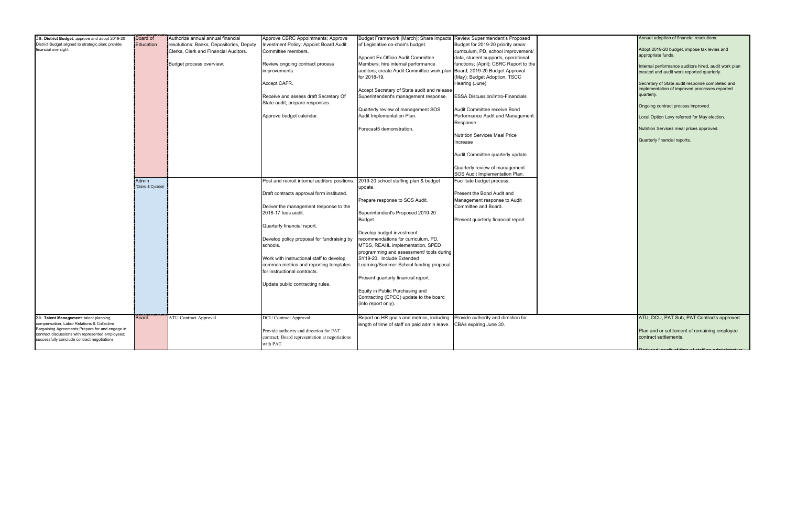| 3a. District Budget: approve and adopt 2019-20     | Board of           | Authorize annual annual financial        | Approve CBRC Appointments; Approve             | Budget Framework (March); Share impacts      | Review Superintendent's Proposed        |  |
|----------------------------------------------------|--------------------|------------------------------------------|------------------------------------------------|----------------------------------------------|-----------------------------------------|--|
| District Budget aligned to strategic plan; provide | Education          | resolutions: Banks, Depositories, Deputy | <b>Investment Policy; Appoint Board Audit</b>  | of Legislative co-chair's budget.            | Budget for 2019-20 priority areas:      |  |
| financial oversight.                               |                    | Clerks, Clerk and Financial Auditors.    | Committee members.                             |                                              | curriculum, PD, school improvement/     |  |
|                                                    |                    |                                          |                                                | Appoint Ex Officio Audit Committee           | data, student supports, operational     |  |
|                                                    |                    | Budget process overview.                 | Review ongoing contract process                | Members; hire internal performance           | functions; (April); CBRC Report to the  |  |
|                                                    |                    |                                          | improvements.                                  | auditors; create Audit Committee work plan   | Board; 2019-20 Budget Approval          |  |
|                                                    |                    |                                          |                                                |                                              |                                         |  |
|                                                    |                    |                                          |                                                | for 2018-19.                                 | (May); Budget Adoption, TSCC            |  |
|                                                    |                    |                                          | Accept CAFR.                                   |                                              | Hearing (June)                          |  |
|                                                    |                    |                                          |                                                | Accept Secretary of State audit and release  |                                         |  |
|                                                    |                    |                                          | Receive and assess draft Secretary Of          | Superintendent's management response.        | <b>ESSA Discussion/Intro-Financials</b> |  |
|                                                    |                    |                                          | State audit; prepare responses.                |                                              |                                         |  |
|                                                    |                    |                                          |                                                | Quarterly review of management SOS           | Audit Committee receive Bond            |  |
|                                                    |                    |                                          | Approve budget calendar.                       | Audit Implementation Plan.                   | Performance Audit and Management        |  |
|                                                    |                    |                                          |                                                |                                              | Response.                               |  |
|                                                    |                    |                                          |                                                |                                              |                                         |  |
|                                                    |                    |                                          |                                                | Forecast5 demonstration.                     |                                         |  |
|                                                    |                    |                                          |                                                |                                              | <b>Nutrition Services Meal Price</b>    |  |
|                                                    |                    |                                          |                                                |                                              | Increase                                |  |
|                                                    |                    |                                          |                                                |                                              |                                         |  |
|                                                    |                    |                                          |                                                |                                              | Audit Committee quarterly update.       |  |
|                                                    |                    |                                          |                                                |                                              |                                         |  |
|                                                    |                    |                                          |                                                |                                              | Quarterly review of management          |  |
|                                                    |                    |                                          |                                                |                                              | SOS Audit Implementation Plan.          |  |
|                                                    |                    |                                          |                                                |                                              |                                         |  |
|                                                    | Admin              |                                          | Post and recruit internal auditors positions.  | 2019-20 school staffing plan & budget        | Facilitate budget process.              |  |
|                                                    | (Claire & Cynthia) |                                          |                                                | update.                                      |                                         |  |
|                                                    |                    |                                          | Draft contracts approval form instituted.      |                                              | Present the Bond Audit and              |  |
|                                                    |                    |                                          |                                                | Prepare response to SOS Audit.               | Management response to Audit            |  |
|                                                    |                    |                                          | Deliver the management response to the         |                                              | Committee and Board.                    |  |
|                                                    |                    |                                          | 2016-17 fees audit.                            | Superintendent's Proposed 2019-20            |                                         |  |
|                                                    |                    |                                          |                                                | Budget.                                      | Present quarterly financial report.     |  |
|                                                    |                    |                                          | Quarterly financial report.                    |                                              |                                         |  |
|                                                    |                    |                                          |                                                |                                              |                                         |  |
|                                                    |                    |                                          |                                                | Develop budget investment                    |                                         |  |
|                                                    |                    |                                          | Develop policy proposal for fundraising by     | recommendations for curriculum, PD,          |                                         |  |
|                                                    |                    |                                          | schools.                                       | MTSS, REAHL implementation, SPED             |                                         |  |
|                                                    |                    |                                          |                                                | programming and assessment/ tools during     |                                         |  |
|                                                    |                    |                                          | Work with instructional staff to develop       | SY19-20. Include Extended                    |                                         |  |
|                                                    |                    |                                          | common metrics and reporting templates         | Learning/Summer School funding proposal.     |                                         |  |
|                                                    |                    |                                          | for instructional contracts.                   |                                              |                                         |  |
|                                                    |                    |                                          |                                                | Present quarterly financial report.          |                                         |  |
|                                                    |                    |                                          |                                                |                                              |                                         |  |
|                                                    |                    |                                          | Update public contracting rules.               |                                              |                                         |  |
|                                                    |                    |                                          |                                                | Equity in Public Purchasing and              |                                         |  |
|                                                    |                    |                                          |                                                | Contracting (EPCC) update to the board       |                                         |  |
|                                                    |                    |                                          |                                                | (info report only).                          |                                         |  |
|                                                    |                    |                                          |                                                |                                              |                                         |  |
| 3b. Talent Management: talent planning,            | <b>Board</b>       | <b>ATU Contract Approval</b>             | DCU Contract Approval.                         | Report on HR goals and metrics, including    | Provide authority and direction for     |  |
| compensation, Labor Relations & Collective         |                    |                                          |                                                | length of time of staff on paid admin leave. | CBAs expiring June 30.                  |  |
| Bargaining Agreements; Prepare for and engage in   |                    |                                          | Provide authority and direction for PAT        |                                              |                                         |  |
| contract discussions with represented employees;   |                    |                                          | contract; Board representation at negotiations |                                              |                                         |  |
| successfully conclude contract negotiations        |                    |                                          |                                                |                                              |                                         |  |
|                                                    |                    |                                          | with PAT.                                      |                                              |                                         |  |
|                                                    |                    |                                          |                                                |                                              |                                         |  |

| Annual adoption of financial resolutions.                                                                      |
|----------------------------------------------------------------------------------------------------------------|
| Adopt 2019-20 budget, impose tax levies and<br>appropriate funds.                                              |
| Internal performance auditors hired, audit work plan<br>created and audit work reported quarterly.             |
| Secretary of State audit response completed and<br>implementation of improved processes reported<br>quarterly. |
| Ongoing contract process improved.                                                                             |
| Local Option Levy referred for May election.                                                                   |
| Nutrition Services meal prices approved.                                                                       |
| Quarterly financial reports.                                                                                   |
|                                                                                                                |
|                                                                                                                |
|                                                                                                                |
|                                                                                                                |
|                                                                                                                |
|                                                                                                                |
|                                                                                                                |
|                                                                                                                |
|                                                                                                                |
|                                                                                                                |
|                                                                                                                |
|                                                                                                                |
|                                                                                                                |
|                                                                                                                |
|                                                                                                                |
| ATU, DCU, PAT Sub, PAT Contracts approved.                                                                     |
| Plan and or settlement of remaining employee                                                                   |
| contract settlements.                                                                                          |
|                                                                                                                |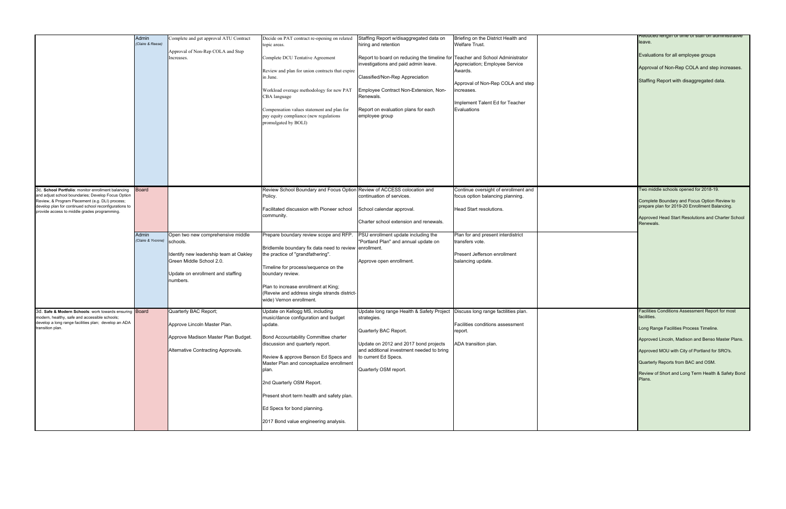| Reduced length of time of stail on administrative<br>leave.     |
|-----------------------------------------------------------------|
| Evaluations for all employee groups                             |
| Approval of Non-Rep COLA and step increases.                    |
| Staffing Report with disaggregated data.                        |
|                                                                 |
|                                                                 |
|                                                                 |
|                                                                 |
|                                                                 |
|                                                                 |
|                                                                 |
| Two middle schools opened for 2018-19.                          |
| Complete Boundary and Focus Option Review to                    |
| prepare plan for 2019-20 Enrollment Balancing.                  |
| Approved Head Start Resolutions and Charter School<br>Renewals. |
|                                                                 |
|                                                                 |
|                                                                 |
|                                                                 |
|                                                                 |
|                                                                 |
| Facilities Conditions Assessment Report for most<br>facilities. |
| Long Range Facilities Process Timeline.                         |
| Approved Lincoln, Madison and Benso Master Plans.               |
| Approved MOU with City of Portland for SRO's.                   |
| Quarterly Reports from BAC and OSM.                             |
| Review of Short and Long Term Health & Safety Bond<br>Plans.    |
|                                                                 |
|                                                                 |
|                                                                 |
|                                                                 |

|                                                                                                                                                                                                                                                                      | Admin<br>Claire & Reese)  | Complete and get approval ATU Contract                                                                                                                               | Decide on PAT contract re-opening on related<br>topic areas.                                                                                                                                                                                                                                                                                                                                                    | Staffing Report w/disaggregated data on<br>hiring and retention                                                                                                                                                                                                         | Briefing on the District Health and<br><b>Welfare Trust.</b>                                                                                  |  |
|----------------------------------------------------------------------------------------------------------------------------------------------------------------------------------------------------------------------------------------------------------------------|---------------------------|----------------------------------------------------------------------------------------------------------------------------------------------------------------------|-----------------------------------------------------------------------------------------------------------------------------------------------------------------------------------------------------------------------------------------------------------------------------------------------------------------------------------------------------------------------------------------------------------------|-------------------------------------------------------------------------------------------------------------------------------------------------------------------------------------------------------------------------------------------------------------------------|-----------------------------------------------------------------------------------------------------------------------------------------------|--|
|                                                                                                                                                                                                                                                                      |                           | Approval of Non-Rep COLA and Step<br>Increases.                                                                                                                      | Complete DCU Tentative Agreement<br>Review and plan for union contracts that expire<br>in June.<br>Workload overage methodology for new PAT<br>CBA language<br>Compensation values statement and plan for<br>pay equity compliance (new regulations<br>promulgated by BOLI)                                                                                                                                     | Report to board on reducing the timeline for Teacher and School Administrator<br>investigations and paid admin leave.<br>Classified/Non-Rep Appreciation<br>Employee Contract Non-Extension, Non-<br>Renewals.<br>Report on evaluation plans for each<br>employee group | Appreciation; Employee Service<br>Awards.<br>Approval of Non-Rep COLA and step<br>ncreases.<br>Implement Talent Ed for Teacher<br>Evaluations |  |
| 3c. School Portfolio: monitor enrollment balancing<br>and adjust school boundaries; Develop Focus Option<br>Review, & Program Placement (e.g. DLI) process;<br>develop plan for continued school reconfigurations to<br>provide access to middle grades programming. | <b>Board</b>              |                                                                                                                                                                      | Review School Boundary and Focus Option Review of ACCESS colocation and<br>Policy.<br>Facilitated discussion with Pioneer school<br>community.                                                                                                                                                                                                                                                                  | continuation of services.<br>School calendar approval.<br>Charter school extension and renewals.                                                                                                                                                                        | Continue oversight of enrollment and<br>focus option balancing planning.<br>Head Start resolutions.                                           |  |
|                                                                                                                                                                                                                                                                      | Admin<br>Claire & Yvonne) | Open two new comprehensive middle<br>schools.<br>Identify new leadership team at Oakley<br>Green Middle School 2.0.<br>Update on enrollment and staffing<br>numbers. | Prepare boundary review scope and RFP.<br>Bridlemile boundary fix data need to review enrollment.<br>the practice of "grandfathering".<br>Timeline for process/sequence on the<br>boundary review.<br>Plan to increase enrollment at King;<br>(Reveiw and address single strands district-<br>wide) Vernon enrollment.                                                                                          | PSU enrollment update including the<br>"Portland Plan" and annual update on<br>Approve open enrollment.                                                                                                                                                                 | Plan for and present interdistrict<br>transfers vote.<br>Present Jefferson enrollment<br>balancing update.                                    |  |
| 3d. Safe & Modern Schools: work towards ensuring<br>modern, healthy, safe and accessible schools;<br>develop a long range facilities plan; develop an ADA<br>transition plan.                                                                                        | <b>Board</b>              | Quarterly BAC Report;<br>Approve Lincoln Master Plan.<br>Approve Madison Master Plan Budget.<br>Alternative Contracting Approvals.                                   | Update on Kellogg MS, including<br>music/dance configuration and budget<br>update.<br>Bond Accountability Committee charter<br>discussion and quarterly report.<br>Review & approve Benson Ed Specs and<br>Master Plan and conceptualize enrollment<br>plan.<br>2nd Quarterly OSM Report.<br>Present short term health and safety plan.<br>Ed Specs for bond planning.<br>2017 Bond value engineering analysis. | Update long range Health & Safety Project   Discuss long range factilities plan.<br>strategies.<br>Quarterly BAC Report.<br>Update on 2012 and 2017 bond projects<br>and additional investment needed to bring<br>to current Ed Specs.<br>Quarterly OSM report.         | Facilities conditions assessment<br>report.<br>ADA transition plan.                                                                           |  |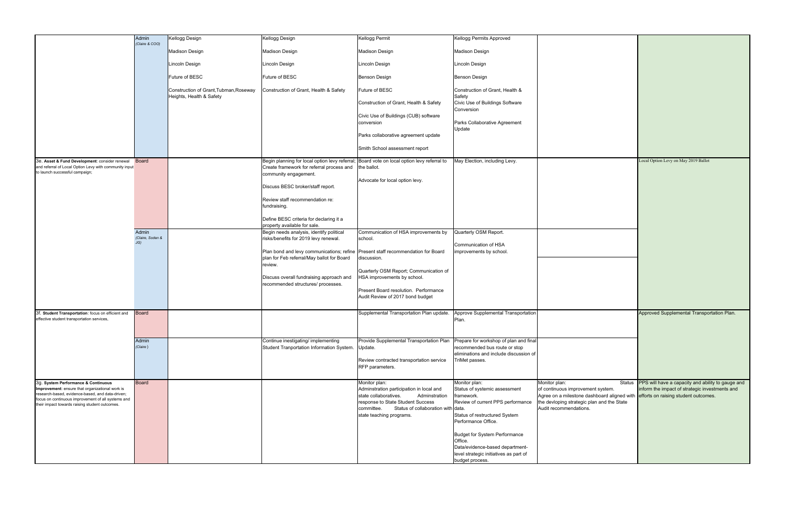|                                                                                                                                                                                                             | Admin<br>(Claire & COO)   | Kellogg Design                                                     | Kellogg Design                                                                                                                            | Kellogg Permit                                                                                                                                                                                    | Kellogg Permits Approved                                                                                                                          |                                                                                                             |
|-------------------------------------------------------------------------------------------------------------------------------------------------------------------------------------------------------------|---------------------------|--------------------------------------------------------------------|-------------------------------------------------------------------------------------------------------------------------------------------|---------------------------------------------------------------------------------------------------------------------------------------------------------------------------------------------------|---------------------------------------------------------------------------------------------------------------------------------------------------|-------------------------------------------------------------------------------------------------------------|
|                                                                                                                                                                                                             |                           | <b>Madison Design</b>                                              | <b>Madison Design</b>                                                                                                                     | <b>Madison Design</b>                                                                                                                                                                             | Madison Design                                                                                                                                    |                                                                                                             |
|                                                                                                                                                                                                             |                           | Lincoln Design                                                     | Lincoln Design                                                                                                                            | Lincoln Design                                                                                                                                                                                    | Lincoln Design                                                                                                                                    |                                                                                                             |
|                                                                                                                                                                                                             |                           | Future of BESC                                                     | Future of BESC                                                                                                                            | <b>Benson Design</b>                                                                                                                                                                              | <b>Benson Design</b>                                                                                                                              |                                                                                                             |
|                                                                                                                                                                                                             |                           | Construction of Grant, Tubman, Roseway<br>Heights, Health & Safety | Construction of Grant, Health & Safety                                                                                                    | <b>Future of BESC</b>                                                                                                                                                                             | Construction of Grant, Health &<br>Safety                                                                                                         |                                                                                                             |
|                                                                                                                                                                                                             |                           |                                                                    |                                                                                                                                           | Construction of Grant, Health & Safety                                                                                                                                                            | Civic Use of Buildings Software<br>Conversion                                                                                                     |                                                                                                             |
|                                                                                                                                                                                                             |                           |                                                                    |                                                                                                                                           | Civic Use of Buildings (CUB) software<br>conversion                                                                                                                                               | Parks Collaborative Agreement<br>Update                                                                                                           |                                                                                                             |
|                                                                                                                                                                                                             |                           |                                                                    |                                                                                                                                           | Parks collaborative agreement update                                                                                                                                                              |                                                                                                                                                   |                                                                                                             |
|                                                                                                                                                                                                             |                           |                                                                    |                                                                                                                                           | Smith School assessment report                                                                                                                                                                    |                                                                                                                                                   |                                                                                                             |
| 3e. Asset & Fund Development: consider renewal<br>and referral of Local Option Levy with community input<br>to launch successful campaign;                                                                  | <b>Board</b>              |                                                                    | Begin planning for local option levy referral;<br>Create framework for referral process and                                               | Board vote on local option levy referral to<br>the ballot.                                                                                                                                        | May Election, including Levy.                                                                                                                     |                                                                                                             |
|                                                                                                                                                                                                             |                           |                                                                    | community engagement.<br>Discuss BESC broker/staff report.                                                                                | Advocate for local option levy.                                                                                                                                                                   |                                                                                                                                                   |                                                                                                             |
|                                                                                                                                                                                                             |                           |                                                                    | Review staff recommendation re:<br>fundraising.                                                                                           |                                                                                                                                                                                                   |                                                                                                                                                   |                                                                                                             |
|                                                                                                                                                                                                             |                           |                                                                    | Define BESC criteria for declaring it a<br>property available for sale.                                                                   |                                                                                                                                                                                                   |                                                                                                                                                   |                                                                                                             |
|                                                                                                                                                                                                             | Admin<br>(Claire, Soden & |                                                                    | Begin needs analysis, identify political<br>risks/benefits for 2019 levy renewal.                                                         | Communication of HSA improvements by<br>school.                                                                                                                                                   | Quarterly OSM Report.                                                                                                                             |                                                                                                             |
|                                                                                                                                                                                                             | J(G)                      |                                                                    | Plan bond and levy communications; refine Present staff recommendation for Board<br>plan for Feb referral/May ballot for Board<br>review. | discussion.                                                                                                                                                                                       | Communication of HSA<br>improvements by school.                                                                                                   |                                                                                                             |
|                                                                                                                                                                                                             |                           |                                                                    | Discuss overall fundraising approach and<br>recommended structures/ processes.                                                            | Quarterly OSM Report; Communication of<br>HSA improvements by school.                                                                                                                             |                                                                                                                                                   |                                                                                                             |
|                                                                                                                                                                                                             |                           |                                                                    |                                                                                                                                           | Present Board resolution. Performance<br>Audit Review of 2017 bond budget                                                                                                                         |                                                                                                                                                   |                                                                                                             |
| 3f. Student Transportation: focus on efficient and<br>effective student transportation services,                                                                                                            | <b>Board</b>              |                                                                    |                                                                                                                                           | Supplemental Transportation Plan update.                                                                                                                                                          | Approve Supplemental Transportation<br>Plan.                                                                                                      |                                                                                                             |
|                                                                                                                                                                                                             | Admin<br>(Claire)         |                                                                    | Continue inestigating/ implementing<br>Student Tranportation Information System. Update.                                                  | Provide Supplemental Transportation Plan                                                                                                                                                          | Prepare for workshop of plan and final<br>recommended bus route or stop<br>eliminations and include discussion of                                 |                                                                                                             |
|                                                                                                                                                                                                             |                           |                                                                    |                                                                                                                                           | Review contracted transportation service<br>RFP parameters.                                                                                                                                       | TriMet passes.                                                                                                                                    |                                                                                                             |
| 3g. System Performance & Continuous                                                                                                                                                                         | <b>Board</b>              |                                                                    |                                                                                                                                           | Monitor plan:                                                                                                                                                                                     | Monitor plan:                                                                                                                                     | Monitor plan:                                                                                               |
| Improvement: ensure that organizational work is<br>research-based, evidence-based, and data-driven;<br>focus on continuous improvement of all systems and<br>their impact towards raising student outcomes. |                           |                                                                    |                                                                                                                                           | Adminstration participation in local and<br>Adminstration<br>state collaboratives.<br>response to State Student Success<br>committee.<br>Status of collaboration with<br>state teaching programs. | Status of systemic assessment<br>framework.<br>Review of current PPS performance<br>data.<br>Status of restructured System<br>Performance Office. | of continuous improveme<br>Agree on a milestone das<br>the devloping strategic pl<br>Audit recommendations. |
|                                                                                                                                                                                                             |                           |                                                                    |                                                                                                                                           |                                                                                                                                                                                                   | <b>Budget for System Performance</b><br>Office.<br>Data/evidence-based department-<br>level strategic initiatives as part of<br>budget process.   |                                                                                                             |

|                                                                                                                                                                                            | Local Option Levy on May 2019 Ballot                                                                                                        |
|--------------------------------------------------------------------------------------------------------------------------------------------------------------------------------------------|---------------------------------------------------------------------------------------------------------------------------------------------|
|                                                                                                                                                                                            | Approved Supplemental Transportation Plan.                                                                                                  |
| Monitor plan:<br><b>Status</b><br>of continuous improvement system.<br>Agree on a milestone dashboard aligned with<br>the devloping strategic plan and the State<br>Audit recommendations. | PPS will have a capacity and ability to gauge and<br>inform the impact of strategic investments and<br>efforts on raising student outcomes. |